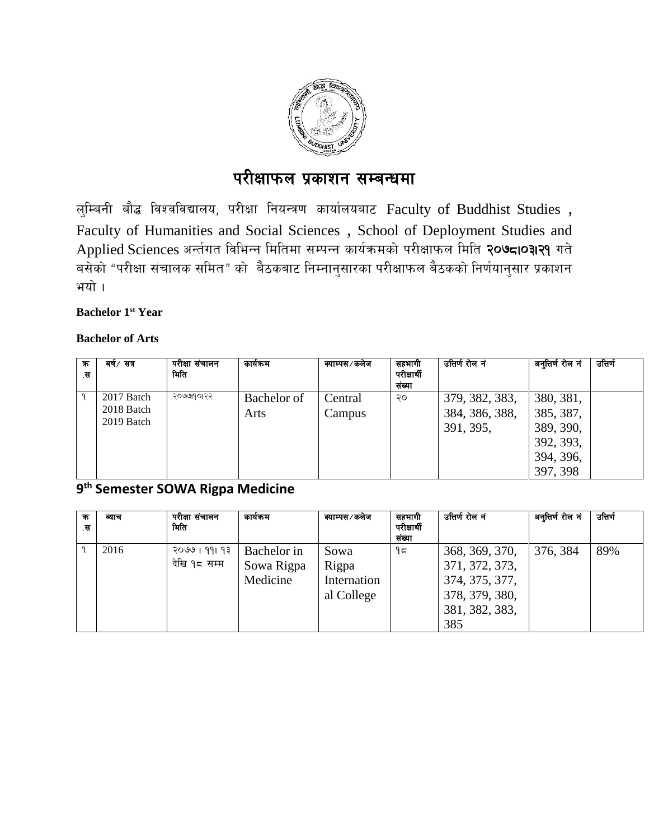

# परीक्षाफल प्रकाशन सम्बन्धमा

ल्म्बिनी बौद्ध विश्वविद्यालय, परीक्षा नियन्त्रण कार्यालयबाट Faculty of Buddhist Studies , Faculty of Humanities and Social Sciences , School of Deployment Studies and Applied Sciences अर्न्तगत विभिन्न मितिमा सम्पन्न कार्यक्रमको परीक्षाफल मिति २०७८10३1२१ गते बसेको "परीक्षा संचालक समित" को बैठकबाट निम्नानुसारका परीक्षाफल बैठकको निर्णयानुसार प्रकाशन भयो ।

#### **Bachelor 1st Year**

#### **Bachelor of Arts**

| क्र<br>.स | बर्ष∕सत्र                              | परीक्षा संचालन<br>मिति | कार्यक्रम           | क्याम्पस⁄कलेज     | सहभागी<br>परीक्षार्थी<br>संख्या | उत्तिर्ण रोल नं                               | अनुत्तिर्ण रोल नं                                                         | उत्तिर्ण |
|-----------|----------------------------------------|------------------------|---------------------|-------------------|---------------------------------|-----------------------------------------------|---------------------------------------------------------------------------|----------|
| ٩         | 2017 Batch<br>2018 Batch<br>2019 Batch | २०७७१०१२२              | Bachelor of<br>Arts | Central<br>Campus | २०                              | 379, 382, 383,<br>384, 386, 388,<br>391, 395, | 380, 381,<br>385, 387,<br>389, 390,<br>392, 393,<br>394, 396,<br>397, 398 |          |

### **9 th Semester SOWA Rigpa Medicine**

| क<br>.स | व्याच | परीक्षा संचालन<br>मिति        | कायक्रम                               | क्याम्पस⁄कलेज                              | सहभागी<br>परीक्षार्थी<br>संख्या | उत्तिर्ण रोल नं                                                                               | अनुतिर्ण रोल नं | उत्तिर्ण |
|---------|-------|-------------------------------|---------------------------------------|--------------------------------------------|---------------------------------|-----------------------------------------------------------------------------------------------|-----------------|----------|
|         | 2016  | २०७७ । ११। १३<br>देखि १८ सम्म | Bachelor in<br>Sowa Rigpa<br>Medicine | Sowa<br>Rigpa<br>Internation<br>al College | ۹ς                              | 368, 369, 370,<br>371, 372, 373,<br>374, 375, 377,<br>378, 379, 380,<br>381, 382, 383,<br>385 | 376, 384        | 89%      |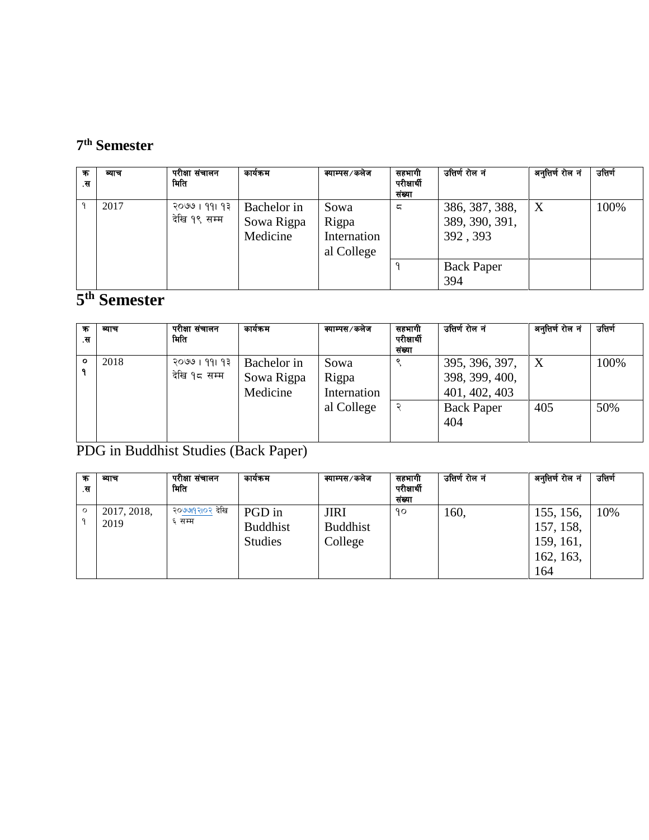## **7 th Semester**

| क<br>.स | व्याच | परीक्षा संचालन<br>मिति        | कायेकम                                | क्याम्पस⁄कलेज                              | सहभागी<br>परीक्षार्थी<br>संख्या | उत्तिर्ण रोल नं                              | अनुत्तिर्ण रोल नं | उत्तिर्ण |
|---------|-------|-------------------------------|---------------------------------------|--------------------------------------------|---------------------------------|----------------------------------------------|-------------------|----------|
|         | 2017  | २०७७ । ११। १३<br>देखि १९ सम्म | Bachelor in<br>Sowa Rigpa<br>Medicine | Sowa<br>Rigpa<br>Internation<br>al College | ς                               | 386, 387, 388,<br>389, 390, 391,<br>392, 393 | X                 | 100%     |
|         |       |                               |                                       |                                            |                                 | <b>Back Paper</b><br>394                     |                   |          |

## **5 th Semester**

| क<br>.स      | व्याच | परीक्षा संचालन<br>मिति        | कार्यक्रम                             | क्याम्पस⁄कलेज                | सहभागी<br>परीक्षार्थी<br>संख्या | उत्तिर्ण रोल नं                                   | अनुत्तिर्ण रोल नं | उत्तिर्ण |
|--------------|-------|-------------------------------|---------------------------------------|------------------------------|---------------------------------|---------------------------------------------------|-------------------|----------|
| $\circ$<br>٩ | 2018  | २०७७ । ११। १३<br>देखि १८ सम्म | Bachelor in<br>Sowa Rigpa<br>Medicine | Sowa<br>Rigpa<br>Internation |                                 | 395, 396, 397,<br>398, 399, 400,<br>401, 402, 403 |                   | 100%     |
|              |       |                               |                                       | al College                   | ্                               | <b>Back Paper</b><br>404                          | 405               | 50%      |

PDG in Buddhist Studies (Back Paper)

| क<br>.स | व्याच               | परीक्षा संचालन<br>मिति   | कायेकम                                      | क्याम्पस⁄कलेज                             | सहभागी<br>परीक्षार्थी<br>संख्या | उत्तिर्ण रोल नं | अनुत्तिर्ण रोल नं                                       | उत्तिर्ण |
|---------|---------------------|--------------------------|---------------------------------------------|-------------------------------------------|---------------------------------|-----------------|---------------------------------------------------------|----------|
| $\circ$ | 2017, 2018,<br>2019 | २०७७१२१०२ देखि<br>६ सम्म | PGD in<br><b>Buddhist</b><br><b>Studies</b> | <b>JIRI</b><br><b>Buddhist</b><br>College | 90                              | 160,            | 155, 156,<br>157, 158,<br>159, 161,<br>162, 163,<br>164 | 10%      |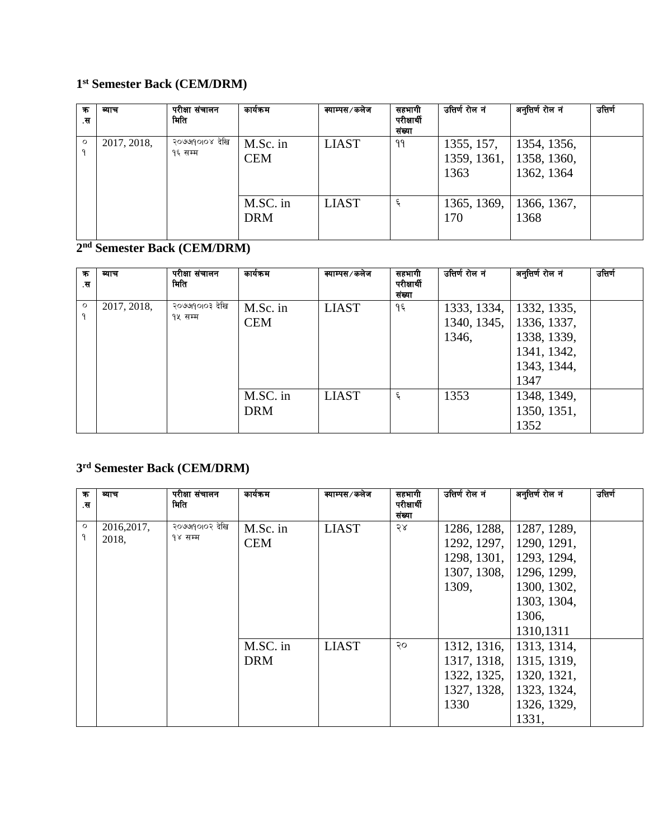#### **1 st Semester Back (CEM/DRM)**

| क<br>.स      | ब्याच       | परीक्षा संचालन<br>मिति    | कायक्रम                | क्याम्पस⁄कलेज | सहभागा<br>परीक्षार्थी<br>संख्या | उत्तिर्ण रोल नं    | अनुत्तिर्ण रोल नं                                      | उत्तिर्ण |
|--------------|-------------|---------------------------|------------------------|---------------|---------------------------------|--------------------|--------------------------------------------------------|----------|
| $\circ$<br>q | 2017, 2018, | २०७७१०१०४ देखि<br>१६ सम्म | M.Sc. in<br><b>CEM</b> | <b>LIAST</b>  | ۹۹                              | 1355, 157,<br>1363 | 1354, 1356,<br>1359, 1361,   1358, 1360,<br>1362, 1364 |          |
|              |             |                           | M.SC. in<br><b>DRM</b> | <b>LIAST</b>  | ६                               | 1365, 1369,<br>170 | 1366, 1367,<br>1368                                    |          |

#### **2 nd Semester Back (CEM/DRM)**

| क<br>.स      | ब्याच       | परीक्षा संचालन<br>मिति | कार्यक्रम  | क्याम्पस⁄कलेज | सहभागी<br>परीक्षार्थी | उत्तिर्ण रोल नं | अनुत्तिर्ण रोल नं | उत्तिर्ण |
|--------------|-------------|------------------------|------------|---------------|-----------------------|-----------------|-------------------|----------|
|              |             |                        |            |               | संख्या                |                 |                   |          |
| $\circ$<br>٩ | 2017, 2018, | २०७७१०१०३ देखि         | M.Sc. in   | <b>LIAST</b>  | १६                    | 1333, 1334,     | 1332, 1335,       |          |
|              |             | १५ सम्म                | <b>CEM</b> |               |                       | 1340, 1345,     | 1336, 1337,       |          |
|              |             |                        |            |               |                       | 1346,           | 1338, 1339,       |          |
|              |             |                        |            |               |                       |                 | 1341, 1342,       |          |
|              |             |                        |            |               |                       |                 | 1343, 1344,       |          |
|              |             |                        |            |               |                       |                 | 1347              |          |
|              |             |                        | M.SC. in   | <b>LIAST</b>  | ६                     | 1353            | 1348, 1349,       |          |
|              |             |                        | <b>DRM</b> |               |                       |                 | 1350, 1351,       |          |
|              |             |                        |            |               |                       |                 | 1352              |          |

#### **3 rd Semester Back (CEM/DRM)**

| क<br>.स      | व्याच       | परीक्षा संचालन<br>मिति    | कार्यक्रम  | क्याम्पस⁄कलेज | सहभागी<br>परीक्षार्थी<br>संख्या | उत्तिर्ण रोल नं | अनुत्तिर्ण रोल नं | उत्तिर्ण |
|--------------|-------------|---------------------------|------------|---------------|---------------------------------|-----------------|-------------------|----------|
| $\circ$<br>٩ | 2016, 2017, | २०७७१०१०२ देखि<br>१४ सम्म | M.Sc. in   | <b>LIAST</b>  | २४                              | 1286, 1288,     | 1287, 1289,       |          |
|              | 2018,       |                           | <b>CEM</b> |               |                                 | 1292, 1297,     | 1290, 1291,       |          |
|              |             |                           |            |               |                                 | 1298, 1301,     | 1293, 1294,       |          |
|              |             |                           |            |               |                                 | 1307, 1308,     | 1296, 1299,       |          |
|              |             |                           |            |               |                                 | 1309,           | 1300, 1302,       |          |
|              |             |                           |            |               |                                 |                 | 1303, 1304,       |          |
|              |             |                           |            |               |                                 |                 | 1306,             |          |
|              |             |                           |            |               |                                 |                 | 1310, 1311        |          |
|              |             |                           | M.SC. in   | <b>LIAST</b>  | २०                              | 1312, 1316,     | 1313, 1314,       |          |
|              |             |                           | <b>DRM</b> |               |                                 | 1317, 1318,     | 1315, 1319,       |          |
|              |             |                           |            |               |                                 | 1322, 1325,     | 1320, 1321,       |          |
|              |             |                           |            |               |                                 | 1327, 1328,     | 1323, 1324,       |          |
|              |             |                           |            |               |                                 | 1330            | 1326, 1329,       |          |
|              |             |                           |            |               |                                 |                 | 1331,             |          |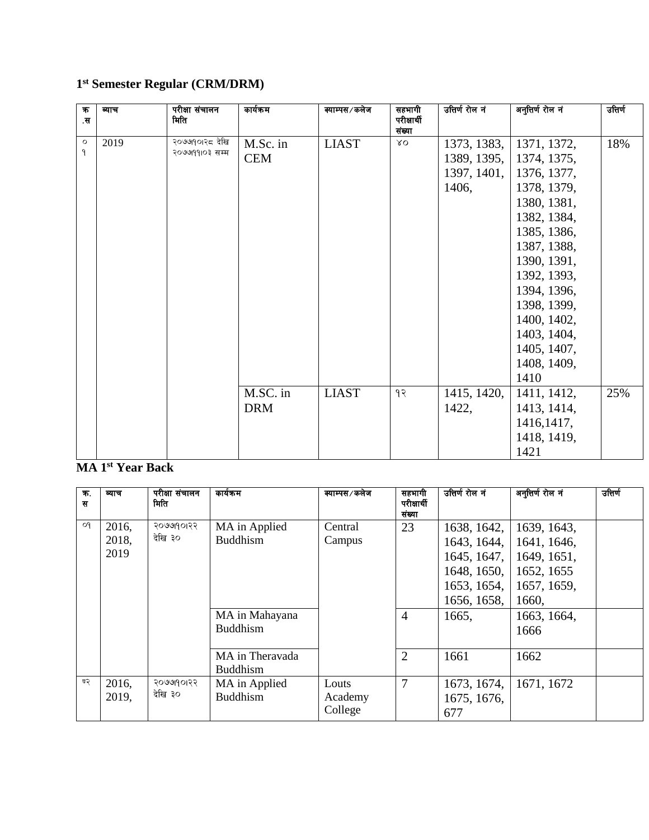#### **1 st Semester Regular (CRM/DRM)**

| $\overline{\mathbf{r}}$<br>.स | ब्याच | परीक्षा संचालन<br>मिति           | कार्यक्रम              | क्याम्पस⁄कलेज | सहभागी<br>परीक्षार्थी<br>संख्या | उत्तिर्ण रोल नं                                    | अनुत्तिर्ण रोल नं                                                                                                                                                                                                                                    | उत्तिर्ण |
|-------------------------------|-------|----------------------------------|------------------------|---------------|---------------------------------|----------------------------------------------------|------------------------------------------------------------------------------------------------------------------------------------------------------------------------------------------------------------------------------------------------------|----------|
| $\circ$<br>٩                  | 2019  | २०७७१०१२८ देखि<br>२०७७१११०३ सम्म | M.Sc. in<br><b>CEM</b> | <b>LIAST</b>  | ΥO                              | 1373, 1383,<br>1389, 1395,<br>1397, 1401,<br>1406, | 1371, 1372,<br>1374, 1375,<br>1376, 1377,<br>1378, 1379,<br>1380, 1381,<br>1382, 1384,<br>1385, 1386,<br>1387, 1388,<br>1390, 1391,<br>1392, 1393,<br>1394, 1396,<br>1398, 1399,<br>1400, 1402,<br>1403, 1404,<br>1405, 1407,<br>1408, 1409,<br>1410 | 18%      |
|                               |       |                                  | M.SC. in<br><b>DRM</b> | <b>LIAST</b>  | १२                              | 1415, 1420,<br>1422,                               | 1411, 1412,<br>1413, 1414,<br>1416, 1417,<br>1418, 1419,<br>1421                                                                                                                                                                                     | 25%      |

## **MA 1st Year Back**

| 不.<br>स | व्याच                  | परीक्षा संचालन<br>मिति | कार्यक्रम                                            | क्याम्पस⁄कलेज               | सहभागी<br>परीक्षार्थी<br>संख्या  | उत्तिर्ण रोल नं                                                                        | अनुत्तिर्ण रोल नं                                                               | उत्तिर्ण |
|---------|------------------------|------------------------|------------------------------------------------------|-----------------------------|----------------------------------|----------------------------------------------------------------------------------------|---------------------------------------------------------------------------------|----------|
| Οq      | 2016,<br>2018,<br>2019 | २०७७१०१२२<br>देखि ३०   | MA in Applied<br><b>Buddhism</b>                     | Central<br>Campus           | 23                               | 1638, 1642,<br>1643, 1644,<br>1645, 1647,<br>1648, 1650,<br>1653, 1654,<br>1656, 1658, | 1639, 1643,<br>1641, 1646,<br>1649, 1651,<br>1652, 1655<br>1657, 1659,<br>1660, |          |
|         |                        |                        | MA in Mahayana<br><b>Buddhism</b><br>MA in Theravada |                             | $\overline{4}$<br>$\overline{2}$ | 1665,<br>1661                                                                          | 1663, 1664,<br>1666<br>1662                                                     |          |
|         |                        |                        | <b>Buddhism</b>                                      |                             |                                  |                                                                                        |                                                                                 |          |
| ण२      | 2016,<br>2019,         | २०७७१०१२२<br>देखि ३०   | MA in Applied<br><b>Buddhism</b>                     | Louts<br>Academy<br>College | 7                                | 1673, 1674,<br>1675, 1676,<br>677                                                      | 1671, 1672                                                                      |          |